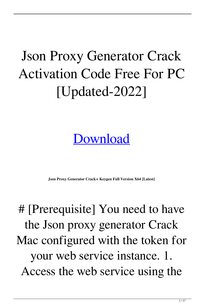## Json Proxy Generator Crack Activation Code Free For PC [Updated-2022]

## [Download](http://evacdir.com/literate/alfredjohnson/facts/pandua.proportion/SnNvbiBwcm94eSBnZW5lcmF0b3ISnN/ZG93bmxvYWR8ZjNqWm5rd2ZId3hOalUyTURJeE1qQTJmSHd5TlRjMGZId29UU2tnY21WaFpDMWliRzluSUZ0R1lYTjBJRWRGVGww&plausibility)

**Json Proxy Generator Crack+ Keygen Full Version X64 [Latest]**

# [Prerequisite] You need to have the Json proxy generator Crack Mac configured with the token for your web service instance. 1. Access the web service using the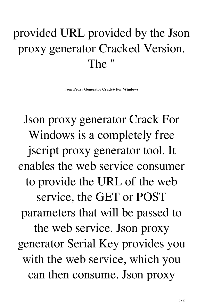## provided URL provided by the Json proxy generator Cracked Version. The ''

**Json Proxy Generator Crack+ For Windows**

Json proxy generator Crack For Windows is a completely free jscript proxy generator tool. It enables the web service consumer to provide the URL of the web service, the GET or POST parameters that will be passed to the web service. Json proxy generator Serial Key provides you with the web service, which you can then consume. Json proxy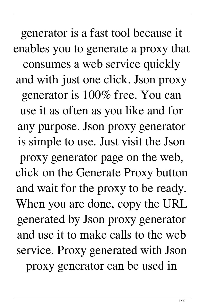generator is a fast tool because it enables you to generate a proxy that consumes a web service quickly and with just one click. Json proxy generator is 100% free. You can use it as often as you like and for any purpose. Json proxy generator is simple to use. Just visit the Json proxy generator page on the web, click on the Generate Proxy button and wait for the proxy to be ready. When you are done, copy the URL generated by Json proxy generator and use it to make calls to the web service. Proxy generated with Json proxy generator can be used in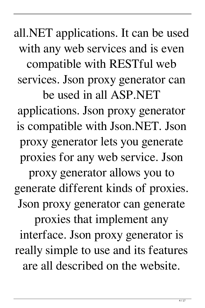all.NET applications. It can be used with any web services and is even compatible with RESTful web services. Json proxy generator can be used in all ASP.NET

applications. Json proxy generator is compatible with Json.NET. Json proxy generator lets you generate proxies for any web service. Json

proxy generator allows you to generate different kinds of proxies. Json proxy generator can generate proxies that implement any interface. Json proxy generator is really simple to use and its features are all described on the website.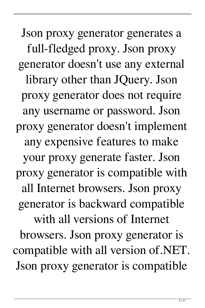Json proxy generator generates a full-fledged proxy. Json proxy generator doesn't use any external library other than JQuery. Json proxy generator does not require any username or password. Json proxy generator doesn't implement any expensive features to make your proxy generate faster. Json proxy generator is compatible with all Internet browsers. Json proxy generator is backward compatible with all versions of Internet browsers. Json proxy generator is compatible with all version of.NET. Json proxy generator is compatible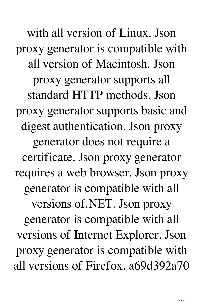with all version of Linux. Json proxy generator is compatible with all version of Macintosh. Json proxy generator supports all standard HTTP methods. Json proxy generator supports basic and digest authentication. Json proxy generator does not require a certificate. Json proxy generator requires a web browser. Json proxy generator is compatible with all versions of.NET. Json proxy generator is compatible with all versions of Internet Explorer. Json proxy generator is compatible with all versions of Firefox. a69d392a70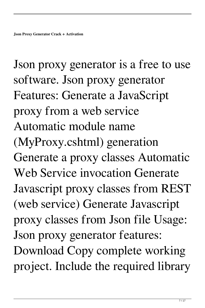Json proxy generator is a free to use software. Json proxy generator Features: Generate a JavaScript proxy from a web service Automatic module name (MyProxy.cshtml) generation Generate a proxy classes Automatic Web Service invocation Generate Javascript proxy classes from REST (web service) Generate Javascript proxy classes from Json file Usage: Json proxy generator features: Download Copy complete working project. Include the required library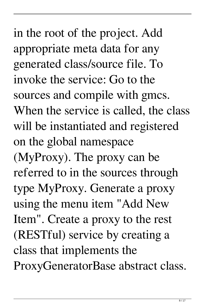in the root of the project. Add appropriate meta data for any generated class/source file. To invoke the service: Go to the sources and compile with gmcs. When the service is called, the class will be instantiated and registered on the global namespace (MyProxy). The proxy can be referred to in the sources through type MyProxy. Generate a proxy using the menu item "Add New Item". Create a proxy to the rest (RESTful) service by creating a class that implements the ProxyGeneratorBase abstract class.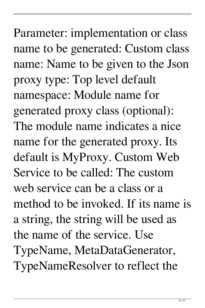Parameter: implementation or class name to be generated: Custom class name: Name to be given to the Json proxy type: Top level default namespace: Module name for generated proxy class (optional): The module name indicates a nice name for the generated proxy. Its default is MyProxy. Custom Web Service to be called: The custom web service can be a class or a method to be invoked. If its name is a string, the string will be used as the name of the service. Use TypeName, MetaDataGenerator, TypeNameResolver to reflect the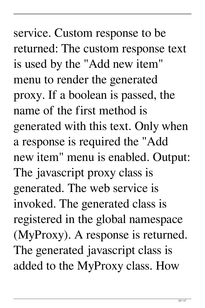service. Custom response to be returned: The custom response text is used by the "Add new item" menu to render the generated proxy. If a boolean is passed, the name of the first method is generated with this text. Only when a response is required the "Add new item" menu is enabled. Output: The javascript proxy class is generated. The web service is invoked. The generated class is registered in the global namespace (MyProxy). A response is returned. The generated javascript class is added to the MyProxy class. How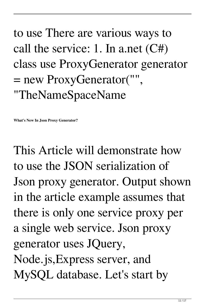## to use There are various ways to call the service: 1. In a.net (C#) class use ProxyGenerator generator = new ProxyGenerator("", "TheNameSpaceName

**What's New In Json Proxy Generator?**

This Article will demonstrate how to use the JSON serialization of Json proxy generator. Output shown in the article example assumes that there is only one service proxy per a single web service. Json proxy generator uses JQuery, Node.js,Express server, and MySQL database. Let's start by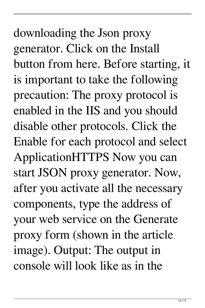downloading the Json proxy generator. Click on the Install button from here. Before starting, it is important to take the following precaution: The proxy protocol is enabled in the IIS and you should disable other protocols. Click the Enable for each protocol and select ApplicationHTTPS Now you can start JSON proxy generator. Now, after you activate all the necessary components, type the address of your web service on the Generate proxy form (shown in the article image). Output: The output in console will look like as in the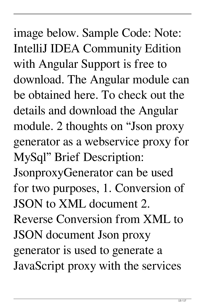image below. Sample Code: Note: IntelliJ IDEA Community Edition with Angular Support is free to download. The Angular module can be obtained here. To check out the details and download the Angular module. 2 thoughts on "Json proxy generator as a webservice proxy for MySql" Brief Description: JsonproxyGenerator can be used for two purposes, 1. Conversion of JSON to XML document 2. Reverse Conversion from XML to JSON document Json proxy generator is used to generate a JavaScript proxy with the services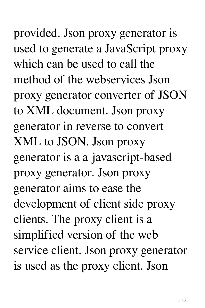provided. Json proxy generator is used to generate a JavaScript proxy which can be used to call the method of the webservices Json proxy generator converter of JSON to XML document. Json proxy generator in reverse to convert XML to JSON. Json proxy generator is a a javascript-based proxy generator. Json proxy generator aims to ease the development of client side proxy clients. The proxy client is a simplified version of the web service client. Json proxy generator is used as the proxy client. Json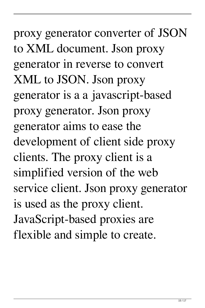proxy generator converter of JSON to XML document. Json proxy generator in reverse to convert XML to JSON. Json proxy generator is a a javascript-based proxy generator. Json proxy generator aims to ease the development of client side proxy clients. The proxy client is a simplified version of the web service client. Json proxy generator is used as the proxy client. JavaScript-based proxies are flexible and simple to create.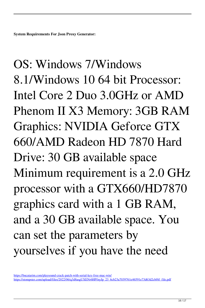**System Requirements For Json Proxy Generator:**

OS: Windows 7/Windows 8.1/Windows 10 64 bit Processor: Intel Core 2 Duo 3.0GHz or AMD Phenom II X3 Memory: 3GB RAM Graphics: NVIDIA Geforce GTX 660/AMD Radeon HD 7870 Hard Drive: 30 GB available space Minimum requirement is a 2.0 GHz processor with a GTX660/HD7870 graphics card with a 1 GB RAM, and a 30 GB available space. You can set the parameters by yourselves if you have the need